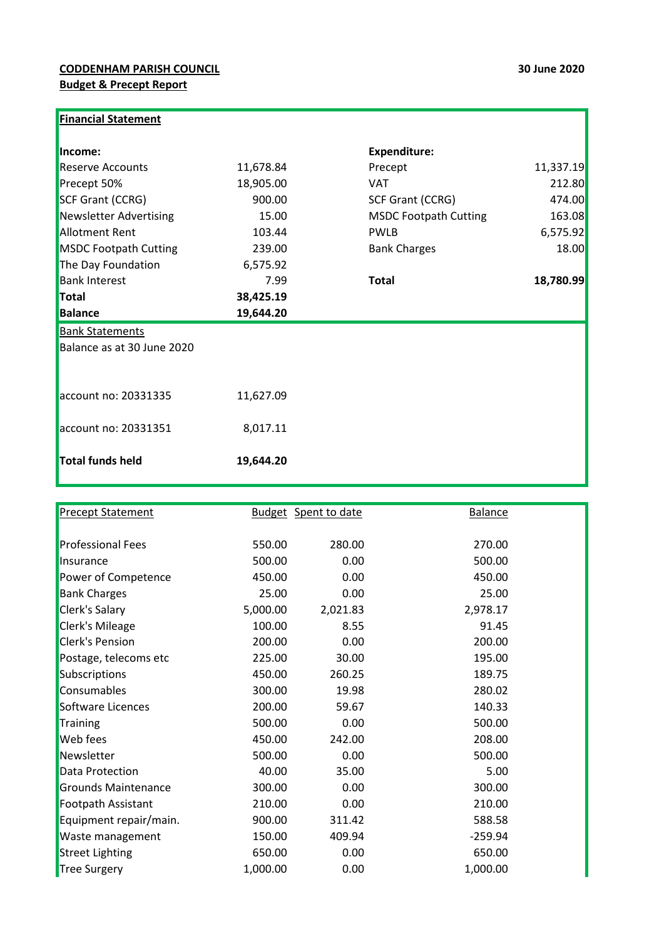| Income:                      |           | <b>Expenditure:</b>          |           |
|------------------------------|-----------|------------------------------|-----------|
| <b>Reserve Accounts</b>      | 11,678.84 | Precept                      | 11,337.19 |
| Precept 50%                  | 18,905.00 | <b>VAT</b>                   | 212.80    |
| <b>SCF Grant (CCRG)</b>      | 900.00    | SCF Grant (CCRG)             | 474.00    |
| Newsletter Advertising       | 15.00     | <b>MSDC Footpath Cutting</b> | 163.08    |
| <b>Allotment Rent</b>        | 103.44    | <b>PWLB</b>                  | 6,575.92  |
| <b>MSDC Footpath Cutting</b> | 239.00    | <b>Bank Charges</b>          | 18.00     |
| The Day Foundation           | 6,575.92  |                              |           |
| <b>Bank Interest</b>         | 7.99      | <b>Total</b>                 | 18,780.99 |
| Total                        | 38,425.19 |                              |           |
| <b>Balance</b>               | 19,644.20 |                              |           |
|                              |           |                              |           |
| <b>Bank Statements</b>       |           |                              |           |
| Balance as at 30 June 2020   |           |                              |           |
|                              |           |                              |           |
| account no: 20331335         | 11,627.09 |                              |           |
| account no: 20331351         | 8,017.11  |                              |           |

| <b>Precept Statement</b> |          | <b>Budget</b> Spent to date | <b>Balance</b> |  |
|--------------------------|----------|-----------------------------|----------------|--|
|                          |          |                             |                |  |
| <b>Professional Fees</b> | 550.00   | 280.00                      | 270.00         |  |
| Insurance                | 500.00   | 0.00                        | 500.00         |  |
| Power of Competence      | 450.00   | 0.00                        | 450.00         |  |
| <b>Bank Charges</b>      | 25.00    | 0.00                        | 25.00          |  |
| Clerk's Salary           | 5,000.00 | 2,021.83                    | 2,978.17       |  |
| Clerk's Mileage          | 100.00   | 8.55                        | 91.45          |  |
| <b>Clerk's Pension</b>   | 200.00   | 0.00                        | 200.00         |  |
| Postage, telecoms etc    | 225.00   | 30.00                       | 195.00         |  |
| Subscriptions            | 450.00   | 260.25                      | 189.75         |  |
| Consumables              | 300.00   | 19.98                       | 280.02         |  |
| Software Licences        | 200.00   | 59.67                       | 140.33         |  |
| Training                 | 500.00   | 0.00                        | 500.00         |  |
| <b>Web</b> fees          | 450.00   | 242.00                      | 208.00         |  |
| Newsletter               | 500.00   | 0.00                        | 500.00         |  |
| Data Protection          | 40.00    | 35.00                       | 5.00           |  |
| Grounds Maintenance      | 300.00   | 0.00                        | 300.00         |  |
| Footpath Assistant       | 210.00   | 0.00                        | 210.00         |  |
| Equipment repair/main.   | 900.00   | 311.42                      | 588.58         |  |
| Waste management         | 150.00   | 409.94                      | $-259.94$      |  |
| <b>Street Lighting</b>   | 650.00   | 0.00                        | 650.00         |  |
| Tree Surgery             | 1,000.00 | 0.00                        | 1,000.00       |  |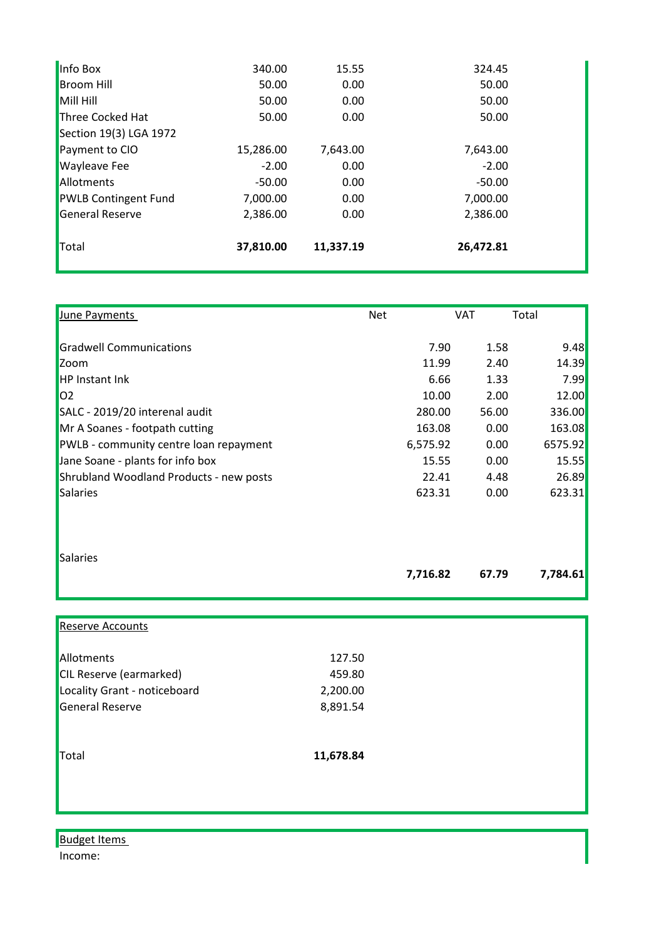| Info Box                    | 340.00    | 15.55     | 324.45    |  |
|-----------------------------|-----------|-----------|-----------|--|
| <b>Broom Hill</b>           | 50.00     | 0.00      | 50.00     |  |
| Mill Hill                   | 50.00     | 0.00      | 50.00     |  |
| Three Cocked Hat            | 50.00     | 0.00      | 50.00     |  |
| Section 19(3) LGA 1972      |           |           |           |  |
| Payment to CIO              | 15,286.00 | 7,643.00  | 7,643.00  |  |
| <b>Wayleave Fee</b>         | $-2.00$   | 0.00      | $-2.00$   |  |
| Allotments                  | $-50.00$  | 0.00      | $-50.00$  |  |
| <b>PWLB Contingent Fund</b> | 7,000.00  | 0.00      | 7,000.00  |  |
| General Reserve             | 2,386.00  | 0.00      | 2,386.00  |  |
| Total                       | 37,810.00 | 11,337.19 | 26,472.81 |  |

| June Payments                           | <b>Net</b> | VAT   | Total    |
|-----------------------------------------|------------|-------|----------|
| <b>Gradwell Communications</b>          | 7.90       | 1.58  | 9.48     |
| Zoom                                    | 11.99      | 2.40  | 14.39    |
| <b>HP Instant Ink</b>                   | 6.66       | 1.33  | 7.99     |
| 02                                      | 10.00      | 2.00  | 12.00    |
| SALC - 2019/20 interenal audit          | 280.00     | 56.00 | 336.00   |
| Mr A Soanes - footpath cutting          | 163.08     | 0.00  | 163.08   |
| PWLB - community centre loan repayment  | 6,575.92   | 0.00  | 6575.92  |
| Jane Soane - plants for info box        | 15.55      | 0.00  | 15.55    |
| Shrubland Woodland Products - new posts | 22.41      | 4.48  | 26.89    |
| Salaries                                | 623.31     | 0.00  | 623.31   |
| Salaries                                | 7,716.82   | 67.79 | 7,784.61 |
| <b>Reserve Accounts</b>                 |            |       |          |

| $\blacksquare$                 |           |  |
|--------------------------------|-----------|--|
| Allotments                     | 127.50    |  |
| <b>CIL Reserve (earmarked)</b> | 459.80    |  |
| Locality Grant - noticeboard   | 2,200.00  |  |
| General Reserve                | 8,891.54  |  |
| <b>Total</b>                   | 11,678.84 |  |
|                                |           |  |
|                                |           |  |
|                                |           |  |

**Budget Items** Income: